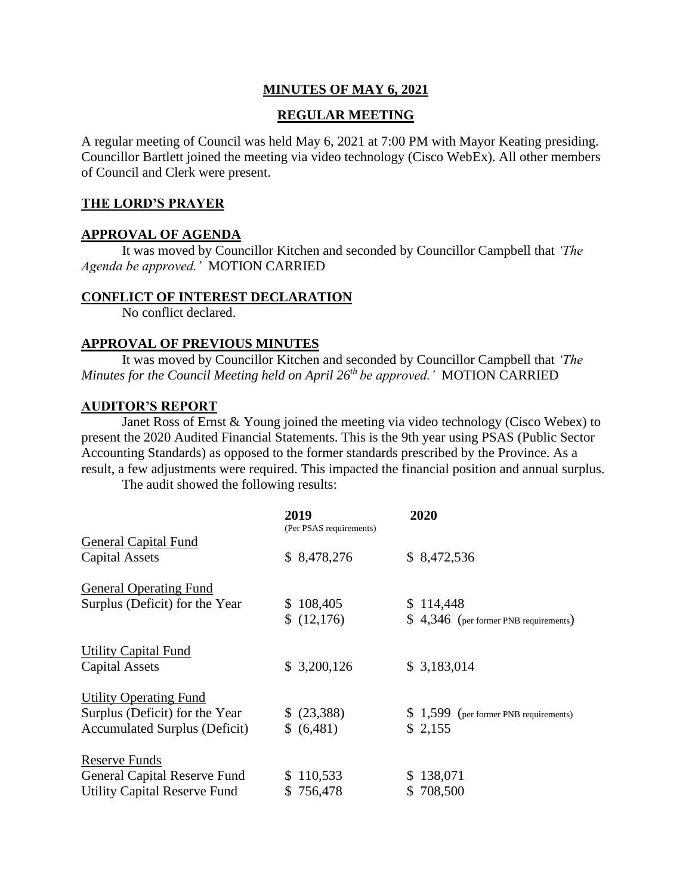## **MINUTES OF MAY 6, 2021**

### **REGULAR MEETING**

A regular meeting of Council was held May 6, 2021 at 7:00 PM with Mayor Keating presiding. Councillor Bartlett joined the meeting via video technology (Cisco WebEx). All other members of Council and Clerk were present.

### **THE LORD'S PRAYER**

### **APPROVAL OF AGENDA**

It was moved by Councillor Kitchen and seconded by Councillor Campbell that *'The Agenda be approved.'* MOTION CARRIED

#### **CONFLICT OF INTEREST DECLARATION**

No conflict declared.

#### **APPROVAL OF PREVIOUS MINUTES**

It was moved by Councillor Kitchen and seconded by Councillor Campbell that *'The Minutes for the Council Meeting held on April 26 th be approved.'* MOTION CARRIED

#### **AUDITOR'S REPORT**

Janet Ross of Ernst & Young joined the meeting via video technology (Cisco Webex) to present the 2020 Audited Financial Statements. This is the 9th year using PSAS (Public Sector Accounting Standards) as opposed to the former standards prescribed by the Province. As a result, a few adjustments were required. This impacted the financial position and annual surplus.

The audit showed the following results:

|                                      | 2019<br>(Per PSAS requirements) | 2020                                   |
|--------------------------------------|---------------------------------|----------------------------------------|
| <b>General Capital Fund</b>          |                                 |                                        |
| <b>Capital Assets</b>                | \$8,478,276                     | \$8,472,536                            |
| <b>General Operating Fund</b>        |                                 |                                        |
| Surplus (Deficit) for the Year       | \$108,405                       | \$114,448                              |
|                                      | (12,176)                        | $$4,346$ (per former PNB requirements) |
| <b>Utility Capital Fund</b>          |                                 |                                        |
| <b>Capital Assets</b>                | \$3,200,126                     | \$3,183,014                            |
| <b>Utility Operating Fund</b>        |                                 |                                        |
| Surplus (Deficit) for the Year       | \$ (23,388)                     | $$1,599$ (per former PNB requirements) |
| <b>Accumulated Surplus (Deficit)</b> | \$ (6,481)                      | \$2,155                                |
| Reserve Funds                        |                                 |                                        |
| <b>General Capital Reserve Fund</b>  | \$110,533                       | \$138,071                              |
| <b>Utility Capital Reserve Fund</b>  | \$756,478                       | \$708,500                              |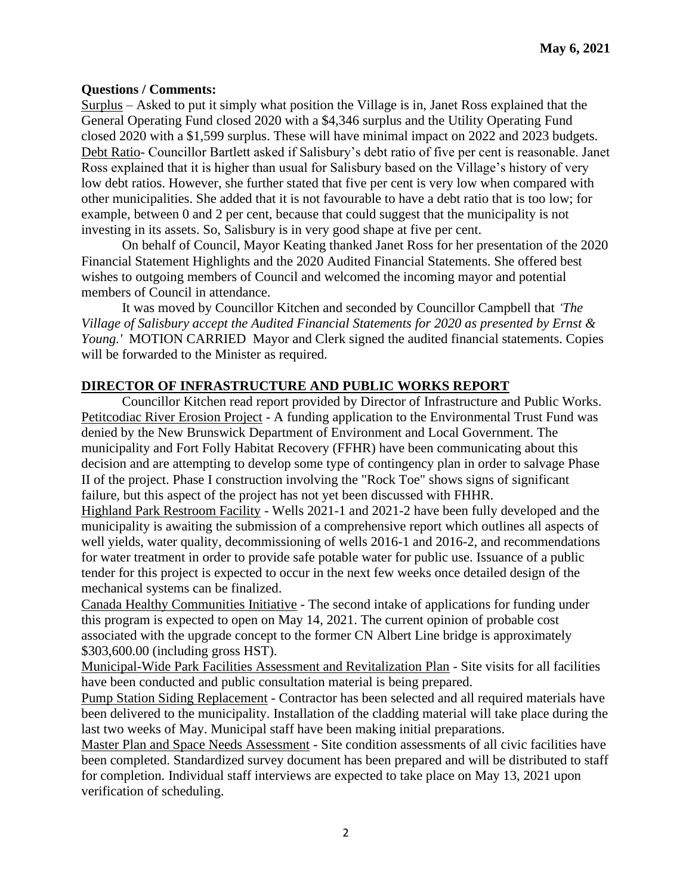#### **Questions / Comments:**

Surplus – Asked to put it simply what position the Village is in, Janet Ross explained that the General Operating Fund closed 2020 with a \$4,346 surplus and the Utility Operating Fund closed 2020 with a \$1,599 surplus. These will have minimal impact on 2022 and 2023 budgets. Debt Ratio- Councillor Bartlett asked if Salisbury's debt ratio of five per cent is reasonable. Janet Ross explained that it is higher than usual for Salisbury based on the Village's history of very low debt ratios. However, she further stated that five per cent is very low when compared with other municipalities. She added that it is not favourable to have a debt ratio that is too low; for example, between 0 and 2 per cent, because that could suggest that the municipality is not investing in its assets. So, Salisbury is in very good shape at five per cent.

On behalf of Council, Mayor Keating thanked Janet Ross for her presentation of the 2020 Financial Statement Highlights and the 2020 Audited Financial Statements. She offered best wishes to outgoing members of Council and welcomed the incoming mayor and potential members of Council in attendance.

It was moved by Councillor Kitchen and seconded by Councillor Campbell that *'The Village of Salisbury accept the Audited Financial Statements for 2020 as presented by Ernst & Young.'* MOTION CARRIED Mayor and Clerk signed the audited financial statements. Copies will be forwarded to the Minister as required.

## **DIRECTOR OF INFRASTRUCTURE AND PUBLIC WORKS REPORT**

Councillor Kitchen read report provided by Director of Infrastructure and Public Works. Petitcodiac River Erosion Project - A funding application to the Environmental Trust Fund was denied by the New Brunswick Department of Environment and Local Government. The municipality and Fort Folly Habitat Recovery (FFHR) have been communicating about this decision and are attempting to develop some type of contingency plan in order to salvage Phase II of the project. Phase I construction involving the "Rock Toe" shows signs of significant failure, but this aspect of the project has not yet been discussed with FHHR.

Highland Park Restroom Facility - Wells 2021-1 and 2021-2 have been fully developed and the municipality is awaiting the submission of a comprehensive report which outlines all aspects of well yields, water quality, decommissioning of wells 2016-1 and 2016-2, and recommendations for water treatment in order to provide safe potable water for public use. Issuance of a public tender for this project is expected to occur in the next few weeks once detailed design of the mechanical systems can be finalized.

Canada Healthy Communities Initiative - The second intake of applications for funding under this program is expected to open on May 14, 2021. The current opinion of probable cost associated with the upgrade concept to the former CN Albert Line bridge is approximately \$303,600.00 (including gross HST).

Municipal-Wide Park Facilities Assessment and Revitalization Plan - Site visits for all facilities have been conducted and public consultation material is being prepared.

Pump Station Siding Replacement - Contractor has been selected and all required materials have been delivered to the municipality. Installation of the cladding material will take place during the last two weeks of May. Municipal staff have been making initial preparations.

Master Plan and Space Needs Assessment - Site condition assessments of all civic facilities have been completed. Standardized survey document has been prepared and will be distributed to staff for completion. Individual staff interviews are expected to take place on May 13, 2021 upon verification of scheduling.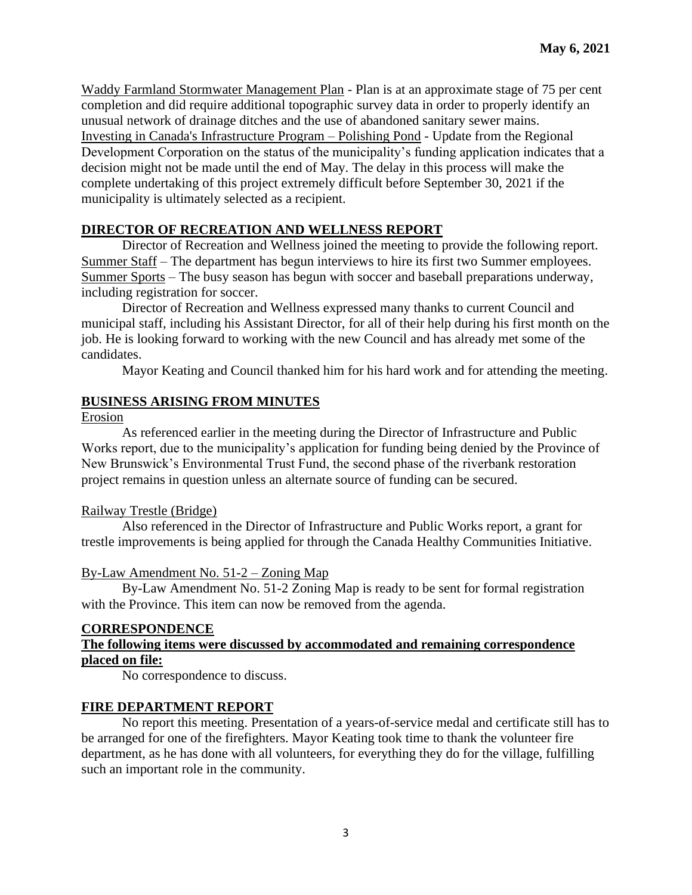Waddy Farmland Stormwater Management Plan - Plan is at an approximate stage of 75 per cent completion and did require additional topographic survey data in order to properly identify an unusual network of drainage ditches and the use of abandoned sanitary sewer mains. Investing in Canada's Infrastructure Program – Polishing Pond - Update from the Regional Development Corporation on the status of the municipality's funding application indicates that a decision might not be made until the end of May. The delay in this process will make the complete undertaking of this project extremely difficult before September 30, 2021 if the municipality is ultimately selected as a recipient.

## **DIRECTOR OF RECREATION AND WELLNESS REPORT**

Director of Recreation and Wellness joined the meeting to provide the following report. Summer Staff – The department has begun interviews to hire its first two Summer employees. Summer Sports – The busy season has begun with soccer and baseball preparations underway, including registration for soccer.

Director of Recreation and Wellness expressed many thanks to current Council and municipal staff, including his Assistant Director, for all of their help during his first month on the job. He is looking forward to working with the new Council and has already met some of the candidates.

Mayor Keating and Council thanked him for his hard work and for attending the meeting.

## **BUSINESS ARISING FROM MINUTES**

Erosion

As referenced earlier in the meeting during the Director of Infrastructure and Public Works report, due to the municipality's application for funding being denied by the Province of New Brunswick's Environmental Trust Fund, the second phase of the riverbank restoration project remains in question unless an alternate source of funding can be secured.

### Railway Trestle (Bridge)

Also referenced in the Director of Infrastructure and Public Works report, a grant for trestle improvements is being applied for through the Canada Healthy Communities Initiative.

## By-Law Amendment No. 51-2 – Zoning Map

By-Law Amendment No. 51-2 Zoning Map is ready to be sent for formal registration with the Province. This item can now be removed from the agenda.

## **CORRESPONDENCE**

## **The following items were discussed by accommodated and remaining correspondence placed on file:**

No correspondence to discuss.

## **FIRE DEPARTMENT REPORT**

No report this meeting. Presentation of a years-of-service medal and certificate still has to be arranged for one of the firefighters. Mayor Keating took time to thank the volunteer fire department, as he has done with all volunteers, for everything they do for the village, fulfilling such an important role in the community.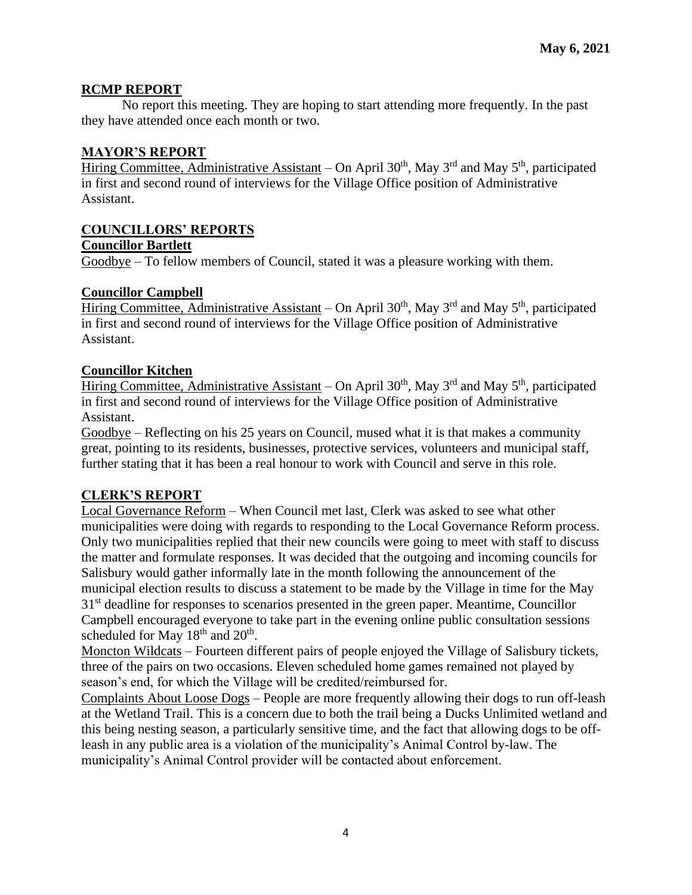## **RCMP REPORT**

No report this meeting. They are hoping to start attending more frequently. In the past they have attended once each month or two.

## **MAYOR'S REPORT**

Hiring Committee, Administrative Assistant – On April 30<sup>th</sup>, May 3<sup>rd</sup> and May 5<sup>th</sup>, participated in first and second round of interviews for the Village Office position of Administrative Assistant.

# **COUNCILLORS' REPORTS**

### **Councillor Bartlett**

Goodbye – To fellow members of Council, stated it was a pleasure working with them.

## **Councillor Campbell**

Hiring Committee, Administrative Assistant – On April 30<sup>th</sup>, May 3<sup>rd</sup> and May 5<sup>th</sup>, participated in first and second round of interviews for the Village Office position of Administrative Assistant.

### **Councillor Kitchen**

Hiring Committee, Administrative Assistant – On April 30<sup>th</sup>, May 3<sup>rd</sup> and May 5<sup>th</sup>, participated in first and second round of interviews for the Village Office position of Administrative Assistant.

Goodbye – Reflecting on his 25 years on Council, mused what it is that makes a community great, pointing to its residents, businesses, protective services, volunteers and municipal staff, further stating that it has been a real honour to work with Council and serve in this role.

## **CLERK'S REPORT**

Local Governance Reform – When Council met last, Clerk was asked to see what other municipalities were doing with regards to responding to the Local Governance Reform process. Only two municipalities replied that their new councils were going to meet with staff to discuss the matter and formulate responses. It was decided that the outgoing and incoming councils for Salisbury would gather informally late in the month following the announcement of the municipal election results to discuss a statement to be made by the Village in time for the May 31<sup>st</sup> deadline for responses to scenarios presented in the green paper. Meantime, Councillor Campbell encouraged everyone to take part in the evening online public consultation sessions scheduled for May  $18<sup>th</sup>$  and  $20<sup>th</sup>$ .

Moncton Wildcats – Fourteen different pairs of people enjoyed the Village of Salisbury tickets, three of the pairs on two occasions. Eleven scheduled home games remained not played by season's end, for which the Village will be credited/reimbursed for.

Complaints About Loose Dogs – People are more frequently allowing their dogs to run off-leash at the Wetland Trail. This is a concern due to both the trail being a Ducks Unlimited wetland and this being nesting season, a particularly sensitive time, and the fact that allowing dogs to be offleash in any public area is a violation of the municipality's Animal Control by-law. The municipality's Animal Control provider will be contacted about enforcement.